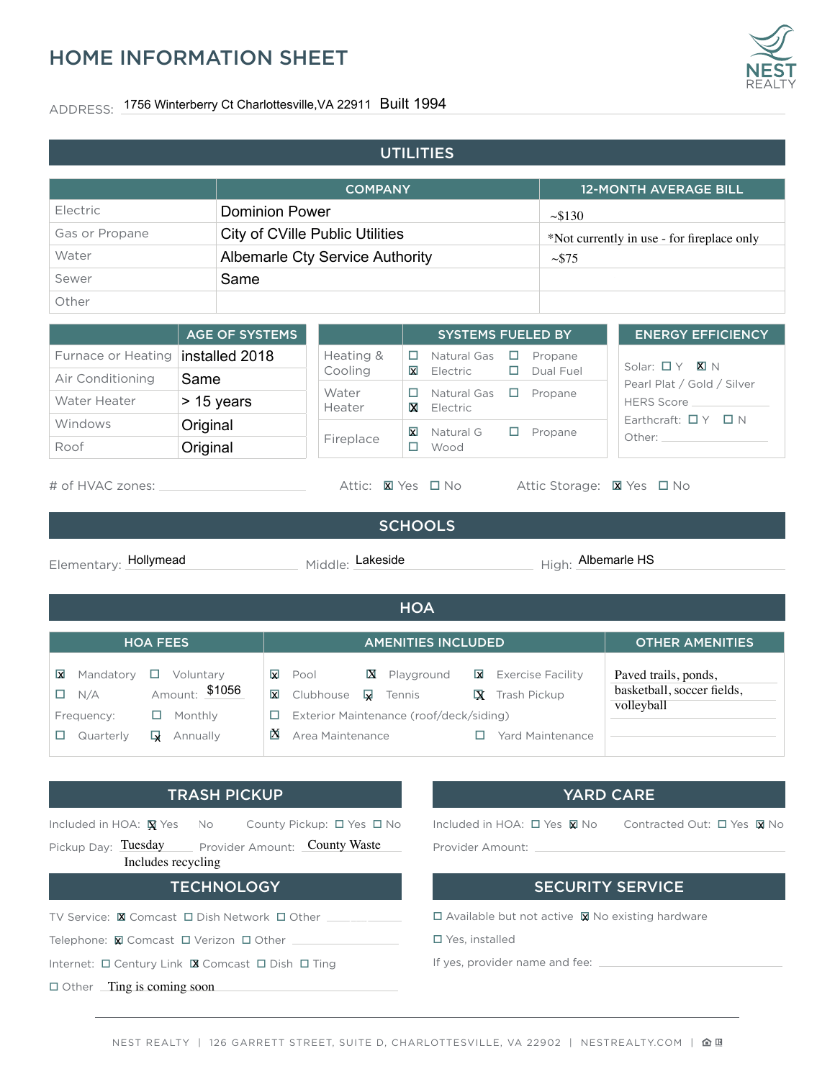## HOME INFORMATION SHEET

## ADDRESS: 1756 Winterberry Ct Charlottesville,VA 22911 Built 1994

| <b>UTILITIES</b>                                                                                                                                |                                                                               |                                                                                                                           |                                        |                                                                                                                            |                                                                  |  |  |
|-------------------------------------------------------------------------------------------------------------------------------------------------|-------------------------------------------------------------------------------|---------------------------------------------------------------------------------------------------------------------------|----------------------------------------|----------------------------------------------------------------------------------------------------------------------------|------------------------------------------------------------------|--|--|
| <b>COMPANY</b>                                                                                                                                  |                                                                               |                                                                                                                           |                                        |                                                                                                                            | <b>12-MONTH AVERAGE BILL</b>                                     |  |  |
| <b>Flectric</b>                                                                                                                                 | <b>Dominion Power</b>                                                         |                                                                                                                           |                                        | ~130                                                                                                                       |                                                                  |  |  |
| Gas or Propane                                                                                                                                  |                                                                               | City of CVille Public Utilities                                                                                           |                                        |                                                                                                                            | *Not currently in use - for fireplace only                       |  |  |
| Water                                                                                                                                           |                                                                               |                                                                                                                           | <b>Albemarle Cty Service Authority</b> |                                                                                                                            | $\sim$ \$75                                                      |  |  |
| Same<br>Sewer                                                                                                                                   |                                                                               |                                                                                                                           |                                        |                                                                                                                            | $\sim 100$                                                       |  |  |
| Other                                                                                                                                           |                                                                               |                                                                                                                           |                                        |                                                                                                                            |                                                                  |  |  |
|                                                                                                                                                 | <b>AGE OF SYSTEMS</b>                                                         |                                                                                                                           | <b>SYSTEMS FUELED BY</b>               |                                                                                                                            | <b>ENERGY EFFICIENCY</b>                                         |  |  |
| Furnace or Heating                                                                                                                              | installed 2018                                                                | Heating &                                                                                                                 | Natural Gas<br>0                       | $\Box$<br>Propane                                                                                                          |                                                                  |  |  |
| Air Conditioning                                                                                                                                | Same                                                                          | Cooling                                                                                                                   | ⊠<br>Electric                          | Dual Fuel                                                                                                                  | Solar: $\Box$ Y <b>X</b> N<br>Pearl Plat / Gold / Silver         |  |  |
| Water Heater                                                                                                                                    | > 15 years                                                                    | Water<br>Heater                                                                                                           | Natural Gas<br>□<br>x<br>Electric      | $\Box$ Propane                                                                                                             | HERS Score ___________                                           |  |  |
| Windows                                                                                                                                         | Original                                                                      |                                                                                                                           | Natural G<br>$\mathbf{\overline{X}}$   | $\Box$ Propane                                                                                                             | Earthcraft: $\Box$ Y $\Box$ N                                    |  |  |
| Roof                                                                                                                                            | Original                                                                      | Fireplace                                                                                                                 | $\Box$<br>Wood                         |                                                                                                                            | Other: National Communication                                    |  |  |
| <b>SCHOOLS</b><br>High: Albemarle HS<br>Elementary: Hollymead<br>Middle: Lakeside                                                               |                                                                               |                                                                                                                           |                                        |                                                                                                                            |                                                                  |  |  |
|                                                                                                                                                 |                                                                               |                                                                                                                           | <b>HOA</b>                             |                                                                                                                            |                                                                  |  |  |
| <b>HOA FEES</b>                                                                                                                                 |                                                                               |                                                                                                                           | <b>AMENITIES INCLUDED</b>              |                                                                                                                            | <b>OTHER AMENITIES</b>                                           |  |  |
| Mandatory $\Box$ Voluntary<br>⊠<br>N/A<br>□<br>Frequency:<br>$\Box$ Quarterly                                                                   | Amount: \$1056<br>⊠<br>$\Box$ Monthly<br>□.<br>$\mathbf{\mathsf{Q}}$ Annually | $\overline{\mathbf{x}}$ Pool<br>Clubhouse<br>又<br>Exterior Maintenance (roof/deck/siding)<br>$\mathbb X$ Area Maintenance | <b>X</b> Playground<br>Tennis          | Exercise Facility<br><b>X</b> Trash Pickup<br>$\Box$ Yard Maintenance                                                      | Paved trails, ponds,<br>basketball, soccer fields,<br>volleyball |  |  |
| <b>TRASH PICKUP</b><br><b>YARD CARE</b>                                                                                                         |                                                                               |                                                                                                                           |                                        |                                                                                                                            |                                                                  |  |  |
| Included in HOA: <b>N</b> Yes<br>County Pickup: □ Yes □ No<br>No.<br>Pickup Day: Tuesday<br>Provider Amount: County Waste<br>Includes recycling |                                                                               |                                                                                                                           |                                        | Included in HOA: $\Box$ Yes $\boxtimes$ No<br>Contracted Out: $\Box$ Yes $\boxtimes$ No<br>Provider Amount: ______________ |                                                                  |  |  |
| <b>TECHNOLOGY</b>                                                                                                                               |                                                                               |                                                                                                                           | <b>SECURITY SERVICE</b>                |                                                                                                                            |                                                                  |  |  |
| TV Service: <b>X</b> Comcast <b>O</b> Dish Network <b>O</b> Other <b>Company</b>                                                                |                                                                               |                                                                                                                           |                                        | $\Box$ Available but not active $\boxtimes$ No existing hardware                                                           |                                                                  |  |  |
|                                                                                                                                                 |                                                                               |                                                                                                                           |                                        | □ Yes, installed                                                                                                           |                                                                  |  |  |
| Internet: $\Box$ Century Link $\Box$ Comcast $\Box$ Dish $\Box$ Ting                                                                            |                                                                               |                                                                                                                           |                                        |                                                                                                                            |                                                                  |  |  |
| $\Box$ Other $\Box$ Ting is coming soon                                                                                                         |                                                                               |                                                                                                                           |                                        |                                                                                                                            |                                                                  |  |  |